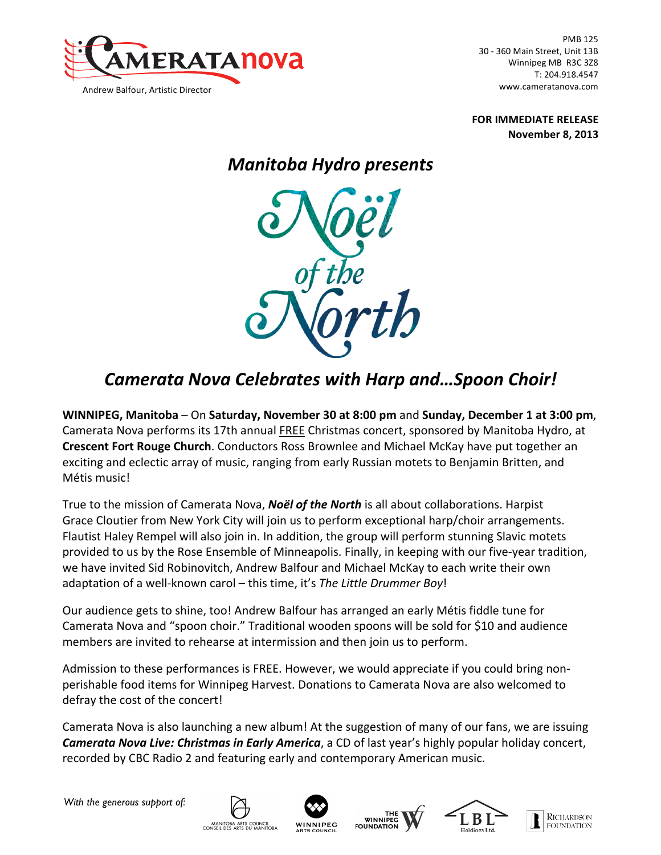

PMB 125 30 - 360 Main Street, Unit 13B Winnipeg MB R3C 3Z8 T: 204.918.4547 www.cameratanova.com

**FOR IMMEDIATE RELEASE November 8, 2013**

## *Manitoba Hydro presents*



## *Camerata Nova Celebrates with Harp and…Spoon Choir!*

**WINNIPEG, Manitoba** – On Saturday, November 30 at 8:00 pm and Sunday, December 1 at 3:00 pm, Camerata Nova performs its 17th annual FREE Christmas concert, sponsored by Manitoba Hydro, at **Crescent Fort Rouge Church**. Conductors Ross Brownlee and Michael McKay have put together an exciting and eclectic array of music, ranging from early Russian motets to Benjamin Britten, and Métis music! 

True to the mission of Camerata Nova, *Noël of the North* is all about collaborations. Harpist Grace Cloutier from New York City will join us to perform exceptional harp/choir arrangements. Flautist Haley Rempel will also join in. In addition, the group will perform stunning Slavic motets provided to us by the Rose Ensemble of Minneapolis. Finally, in keeping with our five-year tradition, we have invited Sid Robinovitch, Andrew Balfour and Michael McKay to each write their own adaptation of a well-known carol – this time, it's The Little Drummer Boy!

Our audience gets to shine, too! Andrew Balfour has arranged an early Métis fiddle tune for Camerata Nova and "spoon choir." Traditional wooden spoons will be sold for \$10 and audience members are invited to rehearse at intermission and then join us to perform.

Admission to these performances is FREE. However, we would appreciate if you could bring nonperishable food items for Winnipeg Harvest. Donations to Camerata Nova are also welcomed to defray the cost of the concert!

Camerata Nova is also launching a new album! At the suggestion of many of our fans, we are issuing **Camerata Nova Live: Christmas in Early America**, a CD of last year's highly popular holiday concert, recorded by CBC Radio 2 and featuring early and contemporary American music.

*With the generous support of:*









**RICHARDSON FOUNDATION**